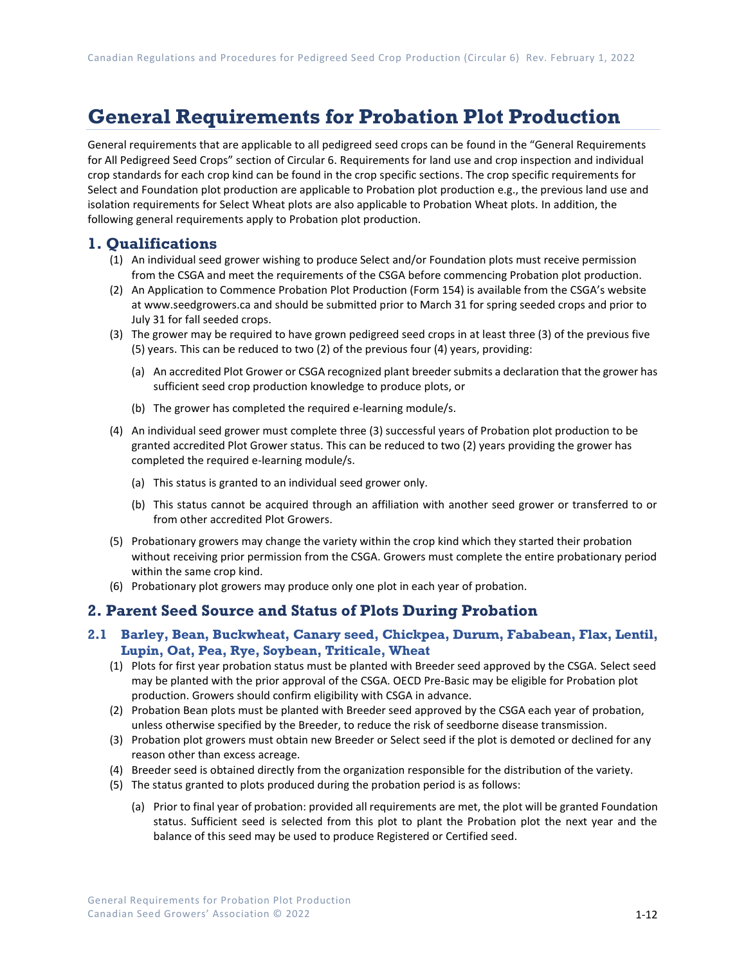# **General Requirements for Probation Plot Production**

General requirements that are applicable to all pedigreed seed crops can be found in the "General Requirements for All Pedigreed Seed Crops" section of Circular 6. Requirements for land use and crop inspection and individual crop standards for each crop kind can be found in the crop specific sections. The crop specific requirements for Select and Foundation plot production are applicable to Probation plot production e.g., the previous land use and isolation requirements for Select Wheat plots are also applicable to Probation Wheat plots. In addition, the following general requirements apply to Probation plot production.

#### **1. Qualifications**

- (1) An individual seed grower wishing to produce Select and/or Foundation plots must receive permission from the CSGA and meet the requirements of the CSGA before commencing Probation plot production.
- (2) An Application to Commence Probation Plot Production (Form 154) is available from the CSGA's website a[t www.seedgrowers.ca](http://www.seedgrowers.ca/) and should be submitted prior to March 31 for spring seeded crops and prior to July 31 for fall seeded crops.
- (3) The grower may be required to have grown pedigreed seed crops in at least three (3) of the previous five (5) years. This can be reduced to two (2) of the previous four (4) years, providing:
	- (a) An accredited Plot Grower or CSGA recognized plant breeder submits a declaration that the grower has sufficient seed crop production knowledge to produce plots, or
	- (b) The grower has completed the required e-learning module/s.
- (4) An individual seed grower must complete three (3) successful years of Probation plot production to be granted accredited Plot Grower status. This can be reduced to two (2) years providing the grower has completed the required e-learning module/s.
	- (a) This status is granted to an individual seed grower only.
	- (b) This status cannot be acquired through an affiliation with another seed grower or transferred to or from other accredited Plot Growers.
- (5) Probationary growers may change the variety within the crop kind which they started their probation without receiving prior permission from the CSGA. Growers must complete the entire probationary period within the same crop kind.
- (6) Probationary plot growers may produce only one plot in each year of probation.

### **2. Parent Seed Source and Status of Plots During Probation**

#### **2.1 Barley, Bean, Buckwheat, Canary seed, Chickpea, Durum, Fababean, Flax, Lentil, Lupin, Oat, Pea, Rye, Soybean, Triticale, Wheat**

- (1) Plots for first year probation status must be planted with Breeder seed approved by the CSGA. Select seed may be planted with the prior approval of the CSGA. OECD Pre-Basic may be eligible for Probation plot production. Growers should confirm eligibility with CSGA in advance.
- (2) Probation Bean plots must be planted with Breeder seed approved by the CSGA each year of probation, unless otherwise specified by the Breeder, to reduce the risk of seedborne disease transmission.
- (3) Probation plot growers must obtain new Breeder or Select seed if the plot is demoted or declined for any reason other than excess acreage.
- (4) Breeder seed is obtained directly from the organization responsible for the distribution of the variety.
- (5) The status granted to plots produced during the probation period is as follows:
	- (a) Prior to final year of probation: provided all requirements are met, the plot will be granted Foundation status. Sufficient seed is selected from this plot to plant the Probation plot the next year and the balance of this seed may be used to produce Registered or Certified seed.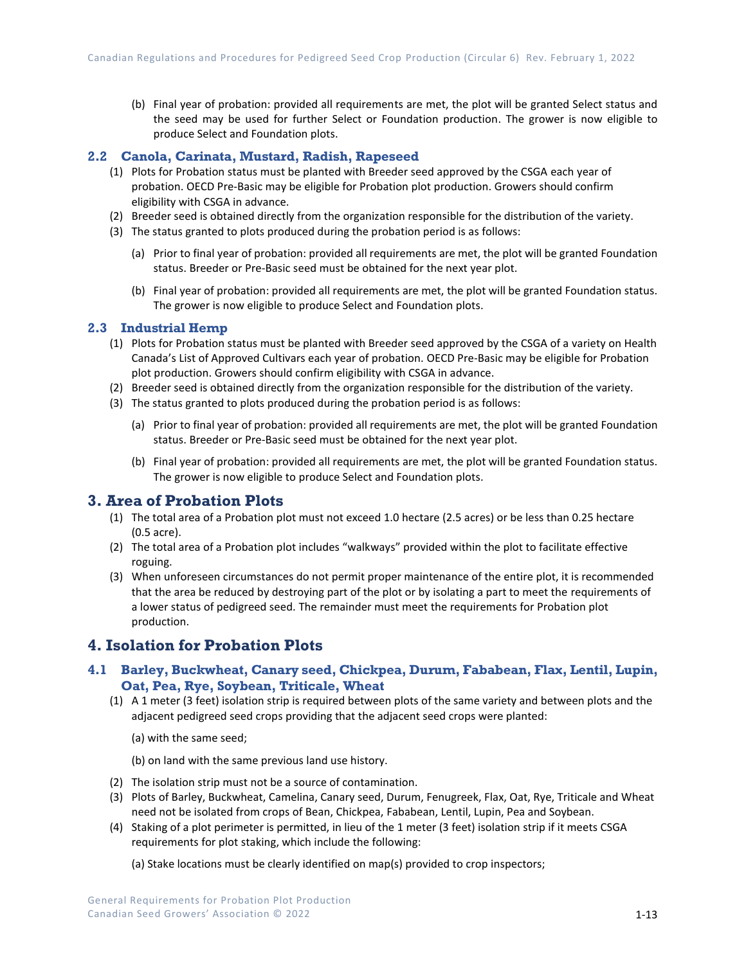(b) Final year of probation: provided all requirements are met, the plot will be granted Select status and the seed may be used for further Select or Foundation production. The grower is now eligible to produce Select and Foundation plots.

#### **2.2 Canola, Carinata, Mustard, Radish, Rapeseed**

- (1) Plots for Probation status must be planted with Breeder seed approved by the CSGA each year of probation. OECD Pre-Basic may be eligible for Probation plot production. Growers should confirm eligibility with CSGA in advance.
- (2) Breeder seed is obtained directly from the organization responsible for the distribution of the variety.
- (3) The status granted to plots produced during the probation period is as follows:
	- (a) Prior to final year of probation: provided all requirements are met, the plot will be granted Foundation status. Breeder or Pre-Basic seed must be obtained for the next year plot.
	- (b) Final year of probation: provided all requirements are met, the plot will be granted Foundation status. The grower is now eligible to produce Select and Foundation plots.

#### **2.3 Industrial Hemp**

- (1) Plots for Probation status must be planted with Breeder seed approved by the CSGA of a variety on Health Canada's List of Approved Cultivars each year of probation. OECD Pre-Basic may be eligible for Probation plot production. Growers should confirm eligibility with CSGA in advance.
- (2) Breeder seed is obtained directly from the organization responsible for the distribution of the variety.
- (3) The status granted to plots produced during the probation period is as follows:
	- (a) Prior to final year of probation: provided all requirements are met, the plot will be granted Foundation status. Breeder or Pre-Basic seed must be obtained for the next year plot.
	- (b) Final year of probation: provided all requirements are met, the plot will be granted Foundation status. The grower is now eligible to produce Select and Foundation plots.

#### **3. Area of Probation Plots**

- (1) The total area of a Probation plot must not exceed 1.0 hectare (2.5 acres) or be less than 0.25 hectare (0.5 acre).
- (2) The total area of a Probation plot includes "walkways" provided within the plot to facilitate effective roguing.
- (3) When unforeseen circumstances do not permit proper maintenance of the entire plot, it is recommended that the area be reduced by destroying part of the plot or by isolating a part to meet the requirements of a lower status of pedigreed seed. The remainder must meet the requirements for Probation plot production.

# **4. Isolation for Probation Plots**

#### **4.1 Barley, Buckwheat, Canary seed, Chickpea, Durum, Fababean, Flax, Lentil, Lupin, Oat, Pea, Rye, Soybean, Triticale, Wheat**

- (1) A 1 meter (3 feet) isolation strip is required between plots of the same variety and between plots and the adjacent pedigreed seed crops providing that the adjacent seed crops were planted:
	- (a) with the same seed;

(b) on land with the same previous land use history.

- (2) The isolation strip must not be a source of contamination.
- (3) Plots of Barley, Buckwheat, Camelina, Canary seed, Durum, Fenugreek, Flax, Oat, Rye, Triticale and Wheat need not be isolated from crops of Bean, Chickpea, Fababean, Lentil, Lupin, Pea and Soybean.
- (4) Staking of a plot perimeter is permitted, in lieu of the 1 meter (3 feet) isolation strip if it meets CSGA requirements for plot staking, which include the following:
	- (a) Stake locations must be clearly identified on map(s) provided to crop inspectors;